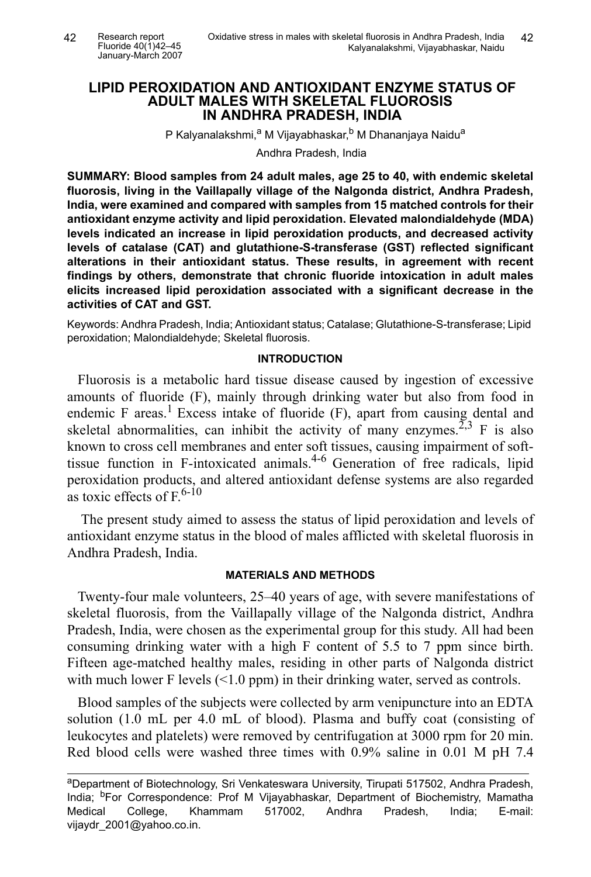# **LIPID PEROXIDATION AND ANTIOXIDANT ENZYME STATUS OF ADULT MALES WITH SKELETAL FLUOROSIS IN ANDHRA PRADESH, INDIA**

P Kalyanalakshmi,<sup>a</sup> M Vijayabhaskar,<sup>b</sup> M Dhananjaya Naidu<sup>a</sup>

Andhra Pradesh, India

**SUMMARY: Blood samples from 24 adult males, age 25 to 40, with endemic skeletal fluorosis, living in the Vaillapally village of the Nalgonda district, Andhra Pradesh, India, were examined and compared with samples from 15 matched controls for their antioxidant enzyme activity and lipid peroxidation. Elevated malondialdehyde (MDA) levels indicated an increase in lipid peroxidation products, and decreased activity levels of catalase (CAT) and glutathione-S-transferase (GST) reflected significant alterations in their antioxidant status. These results, in agreement with recent findings by others, demonstrate that chronic fluoride intoxication in adult males elicits increased lipid peroxidation associated with a significant decrease in the activities of CAT and GST.**

Keywords: Andhra Pradesh, India; Antioxidant status; Catalase; Glutathione-S-transferase; Lipid peroxidation; Malondialdehyde; Skeletal fluorosis.

#### **INTRODUCTION**

Fluorosis is a metabolic hard tissue disease caused by ingestion of excessive amounts of fluoride (F), mainly through drinking water but also from food in endemic F areas.<sup>1</sup> Excess intake of fluoride  $(F)$ , apart from causing dental and skeletal abnormalities, can inhibit the activity of many enzymes.<sup>2,3</sup> F is also known to cross cell membranes and enter soft tissues, causing impairment of softtissue function in F-intoxicated animals.4-6 Generation of free radicals, lipid peroxidation products, and altered antioxidant defense systems are also regarded as toxic effects of  $F<sub>0</sub>^{6-10}$ 

The present study aimed to assess the status of lipid peroxidation and levels of antioxidant enzyme status in the blood of males afflicted with skeletal fluorosis in Andhra Pradesh, India.

#### **MATERIALS AND METHODS**

Twenty-four male volunteers, 25–40 years of age, with severe manifestations of skeletal fluorosis, from the Vaillapally village of the Nalgonda district, Andhra Pradesh, India, were chosen as the experimental group for this study. All had been consuming drinking water with a high F content of 5.5 to 7 ppm since birth. Fifteen age-matched healthy males, residing in other parts of Nalgonda district with much lower F levels  $(1.0 \text{ ppm})$  in their drinking water, served as controls.

Blood samples of the subjects were collected by arm venipuncture into an EDTA solution (1.0 mL per 4.0 mL of blood). Plasma and buffy coat (consisting of leukocytes and platelets) were removed by centrifugation at 3000 rpm for 20 min. Red blood cells were washed three times with 0.9% saline in 0.01 M pH 7.4

aDepartment of Biotechnology, Sri Venkateswara University, Tirupati 517502, Andhra Pradesh, India; <sup>b</sup>For Correspondence: Prof M Vijayabhaskar, Department of Biochemistry, Mamatha Medical College, Khammam 517002, Andhra Pradesh, India; E-mail: vijaydr\_2001@yahoo.co.in.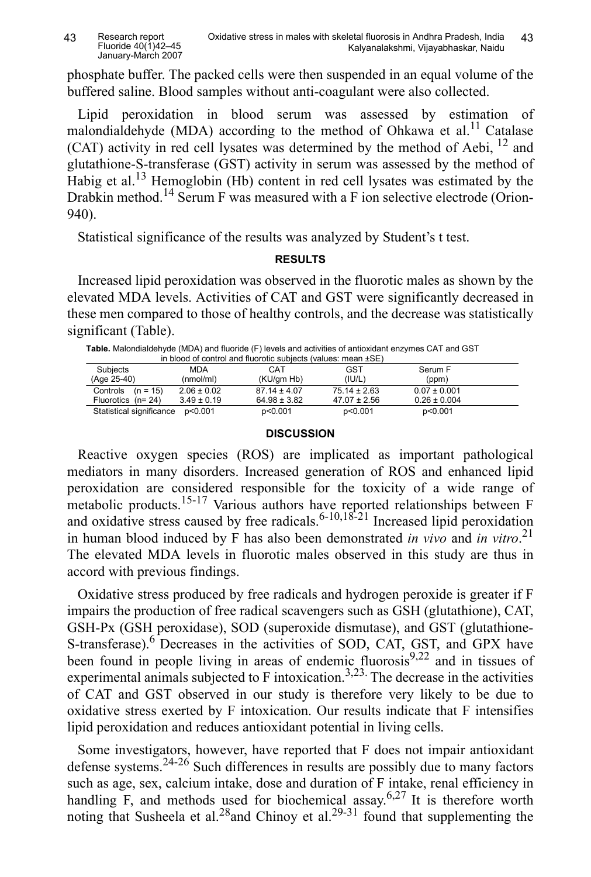phosphate buffer. The packed cells were then suspended in an equal volume of the buffered saline. Blood samples without anti-coagulant were also collected.

Lipid peroxidation in blood serum was assessed by estimation of malondialdehyde (MDA) according to the method of Ohkawa et al.<sup>11</sup> Catalase (CAT) activity in red cell lysates was determined by the method of Aebi, 12 and glutathione-S-transferase (GST) activity in serum was assessed by the method of Habig et al.<sup>13</sup> Hemoglobin (Hb) content in red cell lysates was estimated by the Drabkin method.<sup>14</sup> Serum F was measured with a F ion selective electrode (Orion-940).

Statistical significance of the results was analyzed by Student's t test.

# **RESULTS**

Increased lipid peroxidation was observed in the fluorotic males as shown by the elevated MDA levels. Activities of CAT and GST were significantly decreased in these men compared to those of healthy controls, and the decrease was statistically significant (Table).

| Table. Malondialdehyde (MDA) and fluoride (F) levels and activities of antioxidant enzymes CAT and GST |  |
|--------------------------------------------------------------------------------------------------------|--|
| in blood of control and fluoratic subjects (values: mean $+SE$ )                                       |  |

| in blood of control and fluorotic subjects (values: mean $\pm$ SE) |                 |                  |                  |                  |  |  |  |  |
|--------------------------------------------------------------------|-----------------|------------------|------------------|------------------|--|--|--|--|
| Subjects                                                           | <b>MDA</b>      | CAT              | GST              | Serum F          |  |  |  |  |
| (Age 25-40)                                                        | (nmol/ml)       | (KU/am Hb)       | (IU/L)           | (ppm)            |  |  |  |  |
| Controls $(n = 15)$                                                | $2.06 \pm 0.02$ | $87.14 \pm 4.07$ | $75.14 \pm 2.63$ | $0.07 \pm 0.001$ |  |  |  |  |
| Fluorotics $(n=24)$                                                | $3.49 \pm 0.19$ | $64.98 \pm 3.82$ | $47.07 \pm 2.56$ | $0.26 \pm 0.004$ |  |  |  |  |
| Statistical significance                                           | p<0.001         | p<0.001          | p<0.001          | p<0.001          |  |  |  |  |

## **DISCUSSION**

Reactive oxygen species (ROS) are implicated as important pathological mediators in many disorders. Increased generation of ROS and enhanced lipid peroxidation are considered responsible for the toxicity of a wide range of metabolic products.<sup>15-17</sup> Various authors have reported relationships between F and oxidative stress caused by free radicals.<sup>6-10,18-21</sup> Increased lipid peroxidation in human blood induced by F has also been demonstrated *in vivo* and *in vitro*. 21 The elevated MDA levels in fluorotic males observed in this study are thus in accord with previous findings.

Oxidative stress produced by free radicals and hydrogen peroxide is greater if F impairs the production of free radical scavengers such as GSH (glutathione), CAT, GSH-Px (GSH peroxidase), SOD (superoxide dismutase), and GST (glutathione-S-transferase).<sup>6</sup> Decreases in the activities of SOD, CAT, GST, and GPX have been found in people living in areas of endemic fluorosis $9,22$  and in tissues of experimental animals subjected to F intoxication.<sup>3,23.</sup> The decrease in the activities of CAT and GST observed in our study is therefore very likely to be due to oxidative stress exerted by F intoxication. Our results indicate that F intensifies lipid peroxidation and reduces antioxidant potential in living cells.

Some investigators, however, have reported that F does not impair antioxidant defense systems.24-26 Such differences in results are possibly due to many factors such as age, sex, calcium intake, dose and duration of F intake, renal efficiency in handling F, and methods used for biochemical assay.<sup>6,27</sup> It is therefore worth noting that Susheela et al.<sup>28</sup>and Chinoy et al.<sup>29-31</sup> found that supplementing the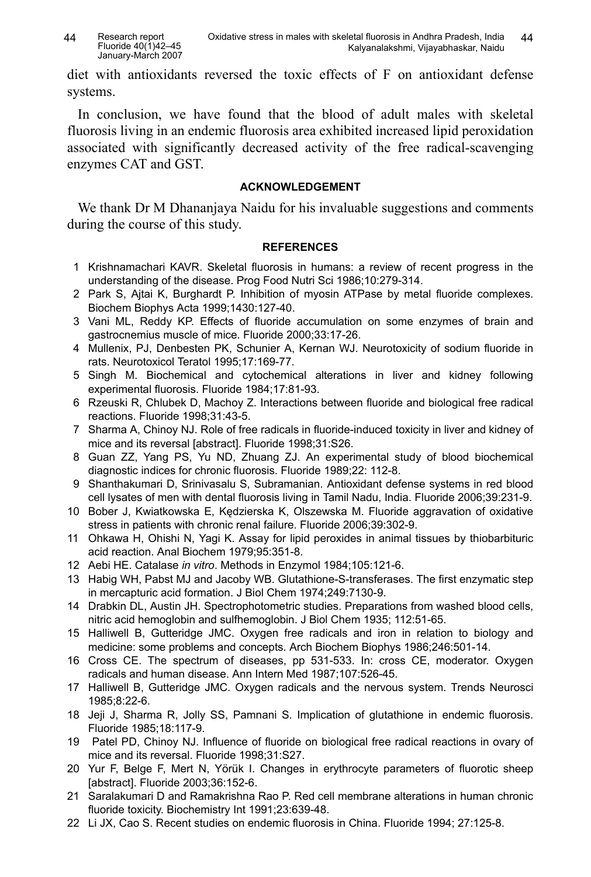diet with antioxidants reversed the toxic effects of F on antioxidant defense systems.

In conclusion, we have found that the blood of adult males with skeletal fluorosis living in an endemic fluorosis area exhibited increased lipid peroxidation associated with significantly decreased activity of the free radical-scavenging enzymes CAT and GST.

## **ACKNOWLEDGEMENT**

We thank Dr M Dhananjaya Naidu for his invaluable suggestions and comments during the course of this study.

## **REFERENCES**

- 1 Krishnamachari KAVR. Skeletal fluorosis in humans: a review of recent progress in the understanding of the disease. Prog Food Nutri Sci 1986;10:279-314.
- 2 Park S, Ajtai K, Burghardt P. Inhibition of myosin ATPase by metal fluoride complexes. Biochem Biophys Acta 1999;1430:127-40.
- 3 Vani ML, Reddy KP. Effects of fluoride accumulation on some enzymes of brain and gastrocnemius muscle of mice. Fluoride 2000;33:17-26.
- 4 Mullenix, PJ, Denbesten PK, Schunier A, Kernan WJ. Neurotoxicity of sodium fluoride in rats. Neurotoxicol Teratol 1995;17:169-77.
- 5 Singh M. Biochemical and cytochemical alterations in liver and kidney following experimental fluorosis. Fluoride 1984;17:81-93.
- 6 Rzeuski R, Chlubek D, Machoy Z. Interactions between fluoride and biological free radical reactions. Fluoride 1998;31:43-5.
- 7 Sharma A, Chinoy NJ. Role of free radicals in fluoride-induced toxicity in liver and kidney of mice and its reversal [abstract]. Fluoride 1998;31:S26.
- 8 Guan ZZ, Yang PS, Yu ND, Zhuang ZJ. An experimental study of blood biochemical diagnostic indices for chronic fluorosis. Fluoride 1989;22: 112-8.
- 9 Shanthakumari D, Srinivasalu S, Subramanian. Antioxidant defense systems in red blood cell lysates of men with dental fluorosis living in Tamil Nadu, India. Fluoride 2006;39:231-9.
- 10 Bober J, Kwiatkowska E, Kędzierska K, Olszewska M. Fluoride aggravation of oxidative stress in patients with chronic renal failure. Fluoride 2006;39:302-9.
- 11 Ohkawa H, Ohishi N, Yagi K. Assay for lipid peroxides in animal tissues by thiobarbituric acid reaction. Anal Biochem 1979;95:351-8.
- 12 Aebi HE. Catalase *in vitro*. Methods in Enzymol 1984;105:121-6.
- 13 Habig WH, Pabst MJ and Jacoby WB. Glutathione-S-transferases. The first enzymatic step in mercapturic acid formation. J Biol Chem 1974;249:7130-9.
- 14 Drabkin DL, Austin JH. Spectrophotometric studies. Preparations from washed blood cells, nitric acid hemoglobin and sulfhemoglobin. J Biol Chem 1935; 112:51-65.
- 15 Halliwell B, Gutteridge JMC. Oxygen free radicals and iron in relation to biology and medicine: some problems and concepts. Arch Biochem Biophys 1986;246:501-14.
- 16 Cross CE. The spectrum of diseases, pp 531-533. In: cross CE, moderator. Oxygen radicals and human disease. Ann Intern Med 1987;107:526-45.
- 17 Halliwell B, Gutteridge JMC. Oxygen radicals and the nervous system. Trends Neurosci 1985;8:22-6.
- 18 Jeji J, Sharma R, Jolly SS, Pamnani S. Implication of glutathione in endemic fluorosis. Fluoride 1985;18:117-9.
- 19 Patel PD, Chinoy NJ. Influence of fluoride on biological free radical reactions in ovary of mice and its reversal. Fluoride 1998;31:S27.
- 20 Yur F, Belge F, Mert N, Yörük I. Changes in erythrocyte parameters of fluorotic sheep [abstract]. Fluoride 2003;36:152-6.
- 21 Saralakumari D and Ramakrishna Rao P. Red cell membrane alterations in human chronic fluoride toxicity. Biochemistry Int 1991;23:639-48.
- 22 Li JX, Cao S. Recent studies on endemic fluorosis in China. Fluoride 1994; 27:125-8.